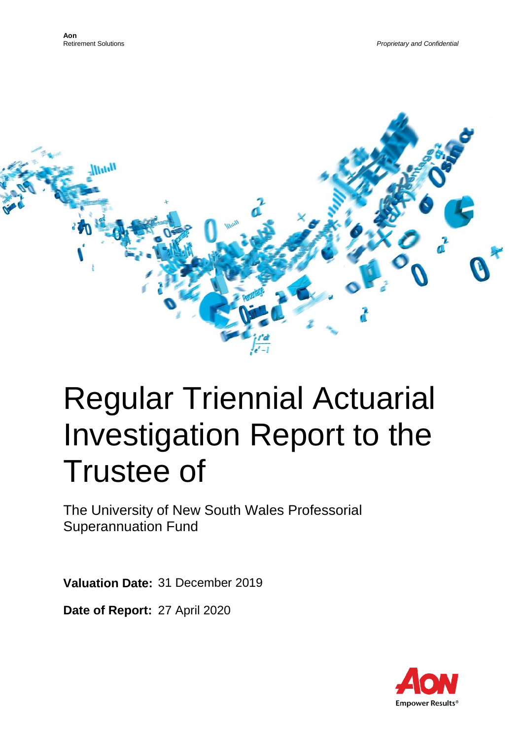

# Regular Triennial Actuarial Investigation Report to the Trustee of

The University of New South Wales Professorial Superannuation Fund

**Valuation Date:** 31 December 2019

**Date of Report:** 27 April 2020

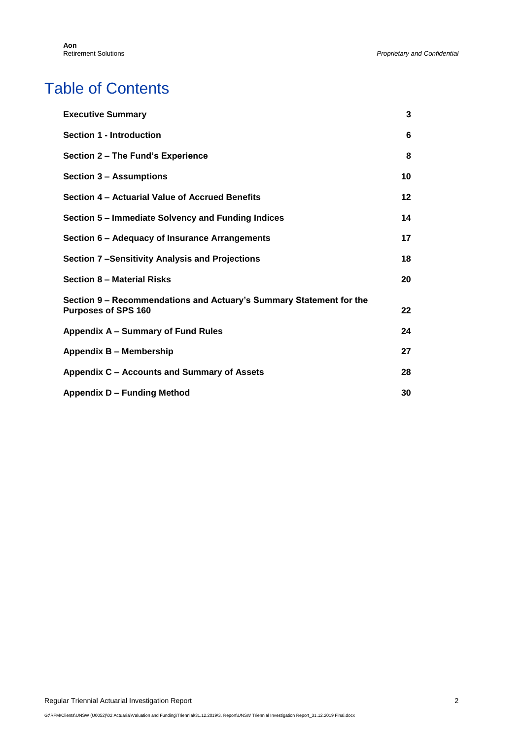# Table of Contents

| <b>Executive Summary</b>                                                                          | 3  |
|---------------------------------------------------------------------------------------------------|----|
| <b>Section 1 - Introduction</b>                                                                   | 6  |
| Section 2 - The Fund's Experience                                                                 | 8  |
| <b>Section 3 - Assumptions</b>                                                                    | 10 |
| Section 4 – Actuarial Value of Accrued Benefits                                                   | 12 |
| Section 5 – Immediate Solvency and Funding Indices                                                | 14 |
| Section 6 - Adequacy of Insurance Arrangements                                                    | 17 |
| Section 7-Sensitivity Analysis and Projections                                                    | 18 |
| Section 8 - Material Risks                                                                        | 20 |
| Section 9 - Recommendations and Actuary's Summary Statement for the<br><b>Purposes of SPS 160</b> | 22 |
| Appendix A - Summary of Fund Rules                                                                | 24 |
| Appendix B - Membership                                                                           | 27 |
| Appendix C - Accounts and Summary of Assets                                                       | 28 |
| Appendix D - Funding Method                                                                       | 30 |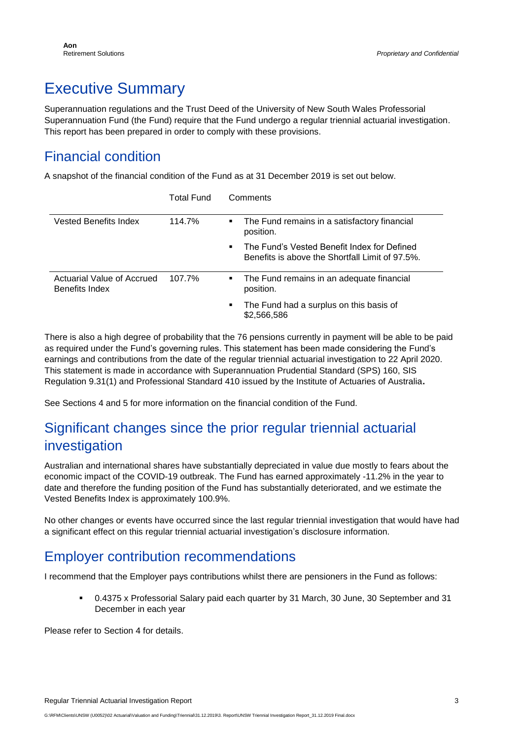# <span id="page-2-0"></span>Executive Summary

Superannuation regulations and the Trust Deed of the University of New South Wales Professorial Superannuation Fund (the Fund) require that the Fund undergo a regular triennial actuarial investigation. This report has been prepared in order to comply with these provisions.

#### Financial condition

A snapshot of the financial condition of the Fund as at 31 December 2019 is set out below.

|                                              | <b>Total Fund</b> | Comments                                                                                                       |
|----------------------------------------------|-------------------|----------------------------------------------------------------------------------------------------------------|
| <b>Vested Benefits Index</b>                 | 114.7%            | The Fund remains in a satisfactory financial<br>н.<br>position.                                                |
|                                              |                   | The Fund's Vested Benefit Index for Defined<br>$\mathbf{r}$<br>Benefits is above the Shortfall Limit of 97.5%. |
| Actuarial Value of Accrued<br>Benefits Index | 107.7%            | The Fund remains in an adequate financial<br>н.<br>position.                                                   |
|                                              |                   | The Fund had a surplus on this basis of<br>\$2,566,586                                                         |

There is also a high degree of probability that the 76 pensions currently in payment will be able to be paid as required under the Fund's governing rules. This statement has been made considering the Fund's earnings and contributions from the date of the regular triennial actuarial investigation to 22 April 2020. This statement is made in accordance with Superannuation Prudential Standard (SPS) 160, SIS Regulation 9.31(1) and Professional Standard 410 issued by the Institute of Actuaries of Australia**.**

See Sections 4 and 5 for more information on the financial condition of the Fund.

### Significant changes since the prior regular triennial actuarial investigation

Australian and international shares have substantially depreciated in value due mostly to fears about the economic impact of the COVID-19 outbreak. The Fund has earned approximately -11.2% in the year to date and therefore the funding position of the Fund has substantially deteriorated, and we estimate the Vested Benefits Index is approximately 100.9%.

No other changes or events have occurred since the last regular triennial investigation that would have had a significant effect on this regular triennial actuarial investigation's disclosure information.

#### Employer contribution recommendations

I recommend that the Employer pays contributions whilst there are pensioners in the Fund as follows:

▪ 0.4375 x Professorial Salary paid each quarter by 31 March, 30 June, 30 September and 31 December in each year

Please refer to Section 4 for details.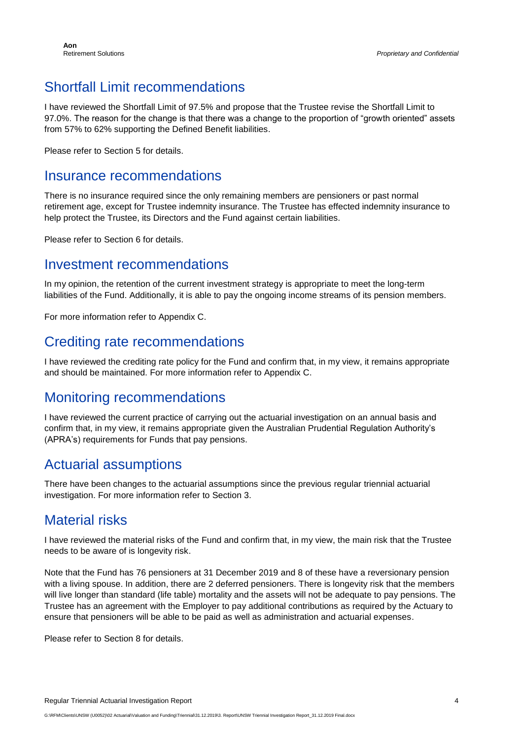### Shortfall Limit recommendations

I have reviewed the Shortfall Limit of 97.5% and propose that the Trustee revise the Shortfall Limit to 97.0%. The reason for the change is that there was a change to the proportion of "growth oriented" assets from 57% to 62% supporting the Defined Benefit liabilities.

Please refer to Section 5 for details.

#### Insurance recommendations

There is no insurance required since the only remaining members are pensioners or past normal retirement age, except for Trustee indemnity insurance. The Trustee has effected indemnity insurance to help protect the Trustee, its Directors and the Fund against certain liabilities.

Please refer to Section 6 for details.

#### Investment recommendations

In my opinion, the retention of the current investment strategy is appropriate to meet the long-term liabilities of the Fund. Additionally, it is able to pay the ongoing income streams of its pension members.

For more information refer to Appendix C.

#### Crediting rate recommendations

I have reviewed the crediting rate policy for the Fund and confirm that, in my view, it remains appropriate and should be maintained. For more information refer to Appendix C.

#### Monitoring recommendations

I have reviewed the current practice of carrying out the actuarial investigation on an annual basis and confirm that, in my view, it remains appropriate given the Australian Prudential Regulation Authority's (APRA's) requirements for Funds that pay pensions.

#### Actuarial assumptions

There have been changes to the actuarial assumptions since the previous regular triennial actuarial investigation. For more information refer to Section 3.

#### Material risks

I have reviewed the material risks of the Fund and confirm that, in my view, the main risk that the Trustee needs to be aware of is longevity risk.

Note that the Fund has 76 pensioners at 31 December 2019 and 8 of these have a reversionary pension with a living spouse. In addition, there are 2 deferred pensioners. There is longevity risk that the members will live longer than standard (life table) mortality and the assets will not be adequate to pay pensions. The Trustee has an agreement with the Employer to pay additional contributions as required by the Actuary to ensure that pensioners will be able to be paid as well as administration and actuarial expenses.

Please refer to Section 8 for details.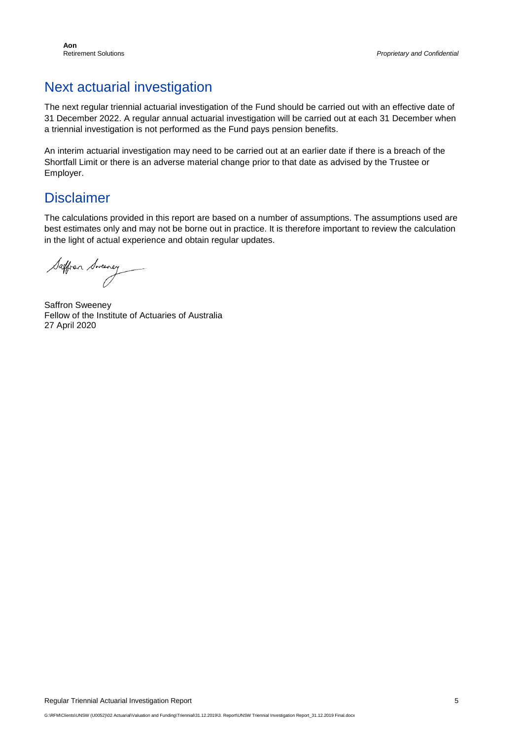#### Next actuarial investigation

The next regular triennial actuarial investigation of the Fund should be carried out with an effective date of 31 December 2022. A regular annual actuarial investigation will be carried out at each 31 December when a triennial investigation is not performed as the Fund pays pension benefits.

An interim actuarial investigation may need to be carried out at an earlier date if there is a breach of the Shortfall Limit or there is an adverse material change prior to that date as advised by the Trustee or Employer.

#### Disclaimer

The calculations provided in this report are based on a number of assumptions. The assumptions used are best estimates only and may not be borne out in practice. It is therefore important to review the calculation in the light of actual experience and obtain regular updates.

Saffron Sweeney

Saffron Sweeney Fellow of the Institute of Actuaries of Australia 27 April 2020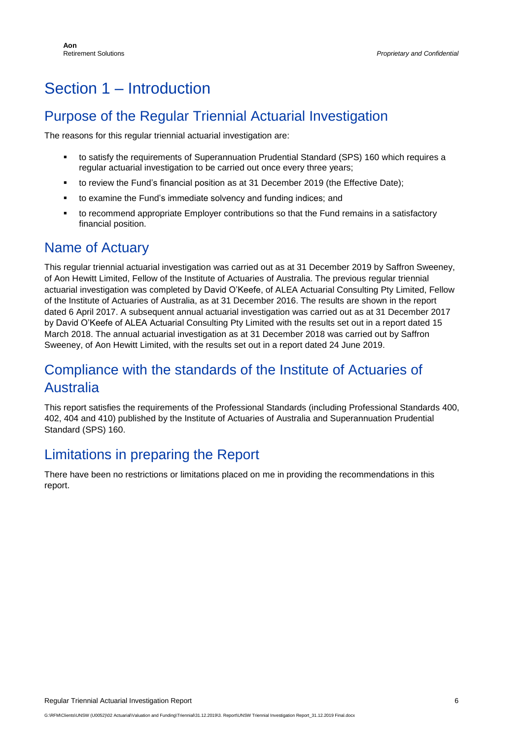# Section 1 – Introduction

#### Purpose of the Regular Triennial Actuarial Investigation

The reasons for this regular triennial actuarial investigation are:

- to satisfy the requirements of Superannuation Prudential Standard (SPS) 160 which requires a regular actuarial investigation to be carried out once every three years;
- to review the Fund's financial position as at 31 December 2019 (the Effective Date);
- to examine the Fund's immediate solvency and funding indices; and
- to recommend appropriate Employer contributions so that the Fund remains in a satisfactory financial position.

#### Name of Actuary

This regular triennial actuarial investigation was carried out as at 31 December 2019 by Saffron Sweeney, of Aon Hewitt Limited, Fellow of the Institute of Actuaries of Australia. The previous regular triennial actuarial investigation was completed by David O'Keefe, of ALEA Actuarial Consulting Pty Limited, Fellow of the Institute of Actuaries of Australia, as at 31 December 2016. The results are shown in the report dated 6 April 2017. A subsequent annual actuarial investigation was carried out as at 31 December 2017 by David O'Keefe of ALEA Actuarial Consulting Pty Limited with the results set out in a report dated 15 March 2018. The annual actuarial investigation as at 31 December 2018 was carried out by Saffron Sweeney, of Aon Hewitt Limited, with the results set out in a report dated 24 June 2019.

#### Compliance with the standards of the Institute of Actuaries of Australia

This report satisfies the requirements of the Professional Standards (including Professional Standards 400, 402, 404 and 410) published by the Institute of Actuaries of Australia and Superannuation Prudential Standard (SPS) 160.

#### Limitations in preparing the Report

There have been no restrictions or limitations placed on me in providing the recommendations in this report.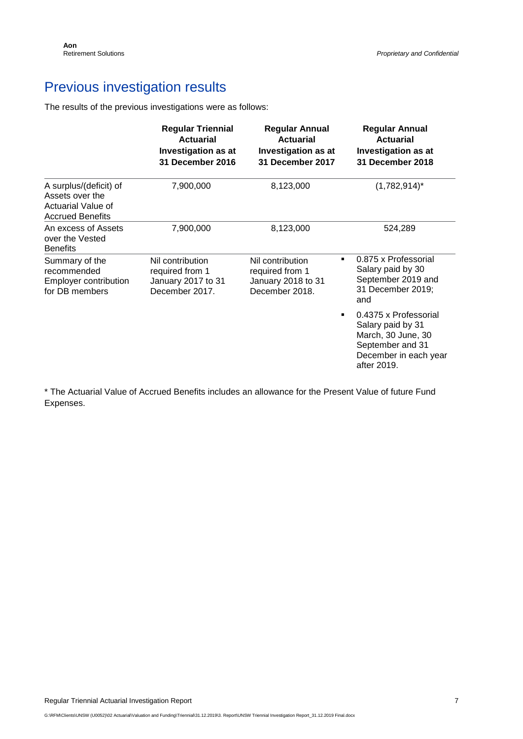### Previous investigation results

The results of the previous investigations were as follows:

|                                                                                            | <b>Regular Triennial</b><br><b>Actuarial</b><br><b>Investigation as at</b><br>31 December 2016 | <b>Regular Annual</b><br><b>Actuarial</b><br><b>Investigation as at</b><br>31 December 2017 | <b>Regular Annual</b><br><b>Actuarial</b><br><b>Investigation as at</b><br>31 December 2018                                  |
|--------------------------------------------------------------------------------------------|------------------------------------------------------------------------------------------------|---------------------------------------------------------------------------------------------|------------------------------------------------------------------------------------------------------------------------------|
| A surplus/(deficit) of<br>Assets over the<br>Actuarial Value of<br><b>Accrued Benefits</b> | 7,900,000                                                                                      | 8,123,000                                                                                   | $(1,782,914)^*$                                                                                                              |
| An excess of Assets<br>over the Vested<br><b>Benefits</b>                                  | 7,900,000                                                                                      | 8,123,000                                                                                   | 524,289                                                                                                                      |
| Summary of the<br>recommended<br><b>Employer contribution</b><br>for DB members            | Nil contribution<br>required from 1<br>January 2017 to 31<br>December 2017.                    | Nil contribution<br>required from 1<br>January 2018 to 31<br>December 2018.                 | 0.875 x Professorial<br>٠<br>Salary paid by 30<br>September 2019 and<br>31 December 2019;<br>and                             |
|                                                                                            |                                                                                                |                                                                                             | 0.4375 x Professorial<br>Salary paid by 31<br>March, 30 June, 30<br>September and 31<br>December in each year<br>after 2019. |

\* The Actuarial Value of Accrued Benefits includes an allowance for the Present Value of future Fund Expenses.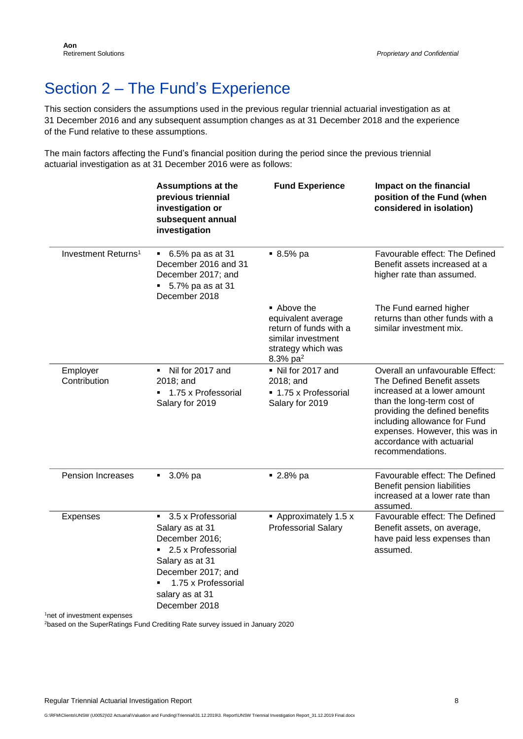# <span id="page-7-0"></span>Section 2 – The Fund's Experience

This section considers the assumptions used in the previous regular triennial actuarial investigation as at 31 December 2016 and any subsequent assumption changes as at 31 December 2018 and the experience of the Fund relative to these assumptions.

The main factors affecting the Fund's financial position during the period since the previous triennial actuarial investigation as at 31 December 2016 were as follows:

|                                 | <b>Assumptions at the</b><br>previous triennial<br>investigation or<br>subsequent annual<br>investigation                                                                             | <b>Fund Experience</b>                                                                                                 | Impact on the financial<br>position of the Fund (when<br>considered in isolation)                                                                                                                                                                                               |
|---------------------------------|---------------------------------------------------------------------------------------------------------------------------------------------------------------------------------------|------------------------------------------------------------------------------------------------------------------------|---------------------------------------------------------------------------------------------------------------------------------------------------------------------------------------------------------------------------------------------------------------------------------|
| Investment Returns <sup>1</sup> | $\bullet$ 6.5% pa as at 31<br>December 2016 and 31<br>December 2017; and<br>$\bullet$ 5.7% pa as at 31<br>December 2018                                                               | $9.5%$ pa                                                                                                              | Favourable effect: The Defined<br>Benefit assets increased at a<br>higher rate than assumed.                                                                                                                                                                                    |
|                                 |                                                                                                                                                                                       | ■ Above the<br>equivalent average<br>return of funds with a<br>similar investment<br>strategy which was<br>8.3% $pa^2$ | The Fund earned higher<br>returns than other funds with a<br>similar investment mix.                                                                                                                                                                                            |
| Employer<br>Contribution        | Nil for 2017 and<br>2018; and<br>■ 1.75 x Professorial<br>Salary for 2019                                                                                                             | Nil for 2017 and<br>2018; and<br>■ 1.75 x Professorial<br>Salary for 2019                                              | Overall an unfavourable Effect:<br>The Defined Benefit assets<br>increased at a lower amount<br>than the long-term cost of<br>providing the defined benefits<br>including allowance for Fund<br>expenses. However, this was in<br>accordance with actuarial<br>recommendations. |
| <b>Pension Increases</b>        | $-3.0\%$ pa                                                                                                                                                                           | ■ 2.8% pa                                                                                                              | Favourable effect: The Defined<br>Benefit pension liabilities<br>increased at a lower rate than<br>assumed.                                                                                                                                                                     |
| <b>Expenses</b>                 | ■ 3.5 x Professorial<br>Salary as at 31<br>December 2016;<br>■ 2.5 x Professorial<br>Salary as at 31<br>December 2017; and<br>1.75 x Professorial<br>salary as at 31<br>December 2018 | • Approximately 1.5 x<br><b>Professorial Salary</b>                                                                    | Favourable effect: The Defined<br>Benefit assets, on average,<br>have paid less expenses than<br>assumed.                                                                                                                                                                       |

<sup>1</sup>net of investment expenses

<sup>2</sup>based on the SuperRatings Fund Crediting Rate survey issued in January 2020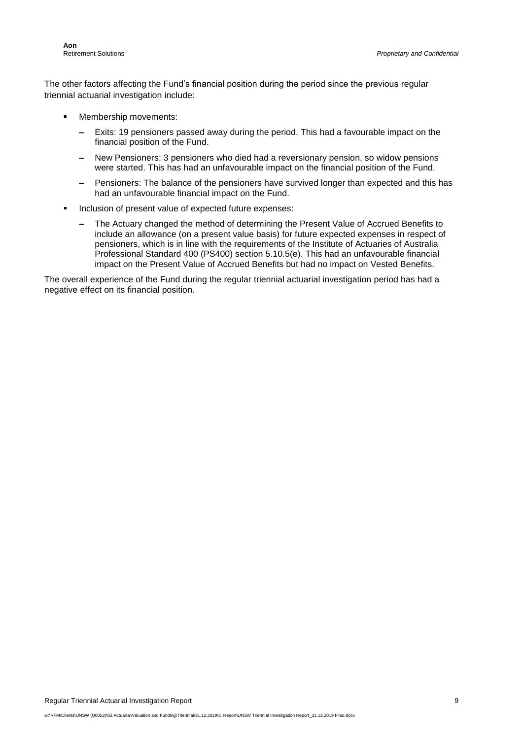The other factors affecting the Fund's financial position during the period since the previous regular triennial actuarial investigation include:

- Membership movements:
	- **–** Exits: 19 pensioners passed away during the period. This had a favourable impact on the financial position of the Fund.
	- **–** New Pensioners: 3 pensioners who died had a reversionary pension, so widow pensions were started. This has had an unfavourable impact on the financial position of the Fund.
	- **–** Pensioners: The balance of the pensioners have survived longer than expected and this has had an unfavourable financial impact on the Fund.
- Inclusion of present value of expected future expenses:
	- **–** The Actuary changed the method of determining the Present Value of Accrued Benefits to include an allowance (on a present value basis) for future expected expenses in respect of pensioners, which is in line with the requirements of the Institute of Actuaries of Australia Professional Standard 400 (PS400) section 5.10.5(e). This had an unfavourable financial impact on the Present Value of Accrued Benefits but had no impact on Vested Benefits.

The overall experience of the Fund during the regular triennial actuarial investigation period has had a negative effect on its financial position.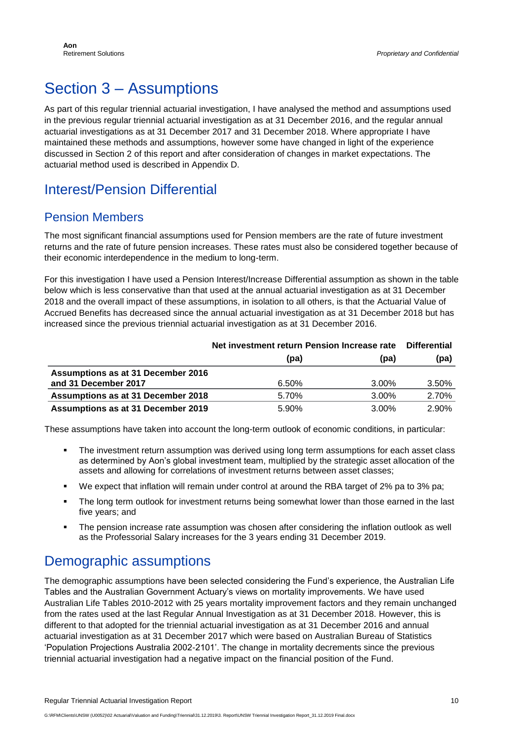# <span id="page-9-0"></span>Section 3 – Assumptions

As part of this regular triennial actuarial investigation, I have analysed the method and assumptions used in the previous regular triennial actuarial investigation as at 31 December 2016, and the regular annual actuarial investigations as at 31 December 2017 and 31 December 2018. Where appropriate I have maintained these methods and assumptions, however some have changed in light of the experience discussed in Section 2 of this report and after consideration of changes in market expectations. The actuarial method used is described in Appendix D.

### Interest/Pension Differential

#### Pension Members

The most significant financial assumptions used for Pension members are the rate of future investment returns and the rate of future pension increases. These rates must also be considered together because of their economic interdependence in the medium to long-term.

For this investigation I have used a Pension Interest/Increase Differential assumption as shown in the table below which is less conservative than that used at the annual actuarial investigation as at 31 December 2018 and the overall impact of these assumptions, in isolation to all others, is that the Actuarial Value of Accrued Benefits has decreased since the annual actuarial investigation as at 31 December 2018 but has increased since the previous triennial actuarial investigation as at 31 December 2016.

|                                    | Net investment return Pension Increase rate | <b>Differential</b> |       |
|------------------------------------|---------------------------------------------|---------------------|-------|
|                                    | (pa)                                        | (pa)                | (pa)  |
| Assumptions as at 31 December 2016 |                                             |                     |       |
| and 31 December 2017               | 6.50%                                       | 3.00%               | 3.50% |
| Assumptions as at 31 December 2018 | 5.70%                                       | $3.00\%$            | 2.70% |
| Assumptions as at 31 December 2019 | 5.90%                                       | $3.00\%$            | 2.90% |

These assumptions have taken into account the long-term outlook of economic conditions, in particular:

- The investment return assumption was derived using long term assumptions for each asset class as determined by Aon's global investment team, multiplied by the strategic asset allocation of the assets and allowing for correlations of investment returns between asset classes;
- We expect that inflation will remain under control at around the RBA target of 2% pa to 3% pa;
- The long term outlook for investment returns being somewhat lower than those earned in the last five years; and
- The pension increase rate assumption was chosen after considering the inflation outlook as well as the Professorial Salary increases for the 3 years ending 31 December 2019.

#### Demographic assumptions

The demographic assumptions have been selected considering the Fund's experience, the Australian Life Tables and the Australian Government Actuary's views on mortality improvements. We have used Australian Life Tables 2010-2012 with 25 years mortality improvement factors and they remain unchanged from the rates used at the last Regular Annual Investigation as at 31 December 2018. However, this is different to that adopted for the triennial actuarial investigation as at 31 December 2016 and annual actuarial investigation as at 31 December 2017 which were based on Australian Bureau of Statistics 'Population Projections Australia 2002-2101'. The change in mortality decrements since the previous triennial actuarial investigation had a negative impact on the financial position of the Fund.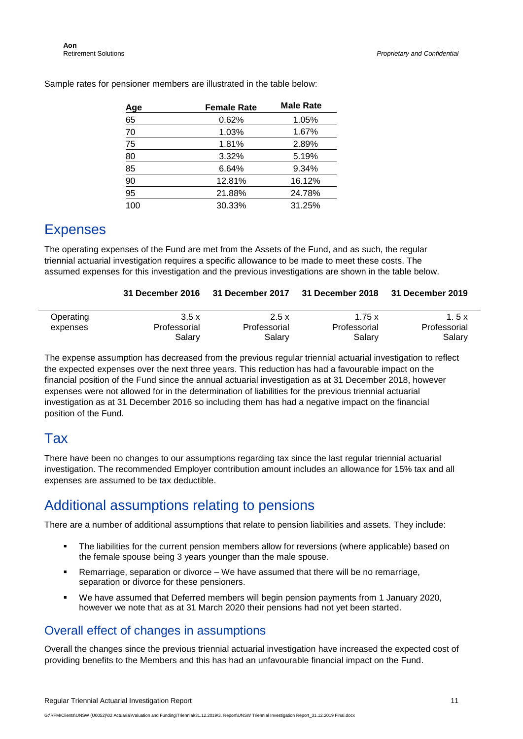| <b>Age</b>     | <b>Female Rate</b> | <b>Male Rate</b> |
|----------------|--------------------|------------------|
| 65             | 0.62%              | 1.05%            |
| 70             | 1.03%              | 1.67%            |
| 75             | 1.81%              | 2.89%            |
| 80             | 3.32%              | 5.19%            |
| $\frac{85}{1}$ | 6.64%              | 9.34%            |
| $\frac{90}{1}$ | 12.81%             | 16.12%           |
| 95             | 21.88%             | 24.78%           |
| 100            | 30.33%             | 31.25%           |

Sample rates for pensioner members are illustrated in the table below:

#### Expenses

The operating expenses of the Fund are met from the Assets of the Fund, and as such, the regular triennial actuarial investigation requires a specific allowance to be made to meet these costs. The assumed expenses for this investigation and the previous investigations are shown in the table below.

| 31 December 2016 31 December 2017 31 December 2018 31 December 2019 |  |  |  |
|---------------------------------------------------------------------|--|--|--|
|---------------------------------------------------------------------|--|--|--|

| Operating | 3.5x         | 2.5x         | 1.75x        | 1. 5 x       |
|-----------|--------------|--------------|--------------|--------------|
| expenses  | Professorial | Professorial | Professorial | Professorial |
|           | Salarv       | Salary       | Salary       | Salary       |

The expense assumption has decreased from the previous regular triennial actuarial investigation to reflect the expected expenses over the next three years. This reduction has had a favourable impact on the financial position of the Fund since the annual actuarial investigation as at 31 December 2018, however expenses were not allowed for in the determination of liabilities for the previous triennial actuarial investigation as at 31 December 2016 so including them has had a negative impact on the financial position of the Fund.

#### Tax

There have been no changes to our assumptions regarding tax since the last regular triennial actuarial investigation. The recommended Employer contribution amount includes an allowance for 15% tax and all expenses are assumed to be tax deductible.

#### Additional assumptions relating to pensions

There are a number of additional assumptions that relate to pension liabilities and assets. They include:

- The liabilities for the current pension members allow for reversions (where applicable) based on the female spouse being 3 years younger than the male spouse.
- Remarriage, separation or divorce We have assumed that there will be no remarriage, separation or divorce for these pensioners.
- We have assumed that Deferred members will begin pension payments from 1 January 2020, however we note that as at 31 March 2020 their pensions had not yet been started.

#### Overall effect of changes in assumptions

Overall the changes since the previous triennial actuarial investigation have increased the expected cost of providing benefits to the Members and this has had an unfavourable financial impact on the Fund.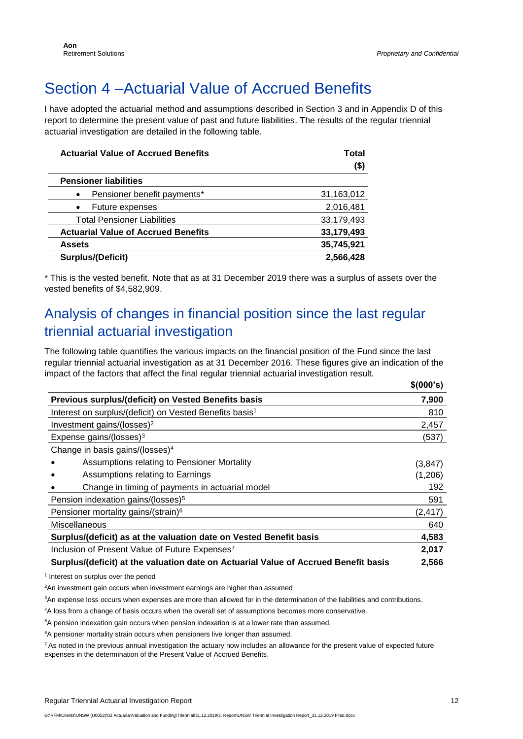# <span id="page-11-0"></span>Section 4 –Actuarial Value of Accrued Benefits

I have adopted the actuarial method and assumptions described in Section 3 and in Appendix D of this report to determine the present value of past and future liabilities. The results of the regular triennial actuarial investigation are detailed in the following table.

| <b>Actuarial Value of Accrued Benefits</b> | Total      |
|--------------------------------------------|------------|
|                                            | (\$)       |
| <b>Pensioner liabilities</b>               |            |
| Pensioner benefit payments*<br>$\bullet$   | 31,163,012 |
| Future expenses<br>$\bullet$               | 2,016,481  |
| <b>Total Pensioner Liabilities</b>         | 33,179,493 |
| <b>Actuarial Value of Accrued Benefits</b> | 33,179,493 |
| <b>Assets</b>                              | 35,745,921 |
| Surplus/(Deficit)                          | 2,566,428  |

\* This is the vested benefit. Note that as at 31 December 2019 there was a surplus of assets over the vested benefits of \$4,582,909.

### Analysis of changes in financial position since the last regular triennial actuarial investigation

The following table quantifies the various impacts on the financial position of the Fund since the last regular triennial actuarial investigation as at 31 December 2016. These figures give an indication of the impact of the factors that affect the final regular triennial actuarial investigation result. **\$(000's)**

|                                                                                     | $\sqrt{2}$ |
|-------------------------------------------------------------------------------------|------------|
| Previous surplus/(deficit) on Vested Benefits basis                                 | 7,900      |
| Interest on surplus/(deficit) on Vested Benefits basis <sup>1</sup>                 | 810        |
| Investment gains/(losses) <sup>2</sup>                                              | 2,457      |
| Expense gains/(losses) <sup>3</sup>                                                 | (537)      |
| Change in basis gains/(losses) <sup>4</sup>                                         |            |
| Assumptions relating to Pensioner Mortality                                         | (3, 847)   |
| Assumptions relating to Earnings                                                    | (1,206)    |
| Change in timing of payments in actuarial model                                     | 192        |
| Pension indexation gains/(losses) <sup>5</sup>                                      | 591        |
| Pensioner mortality gains/(strain) <sup>6</sup>                                     | (2, 417)   |
| Miscellaneous                                                                       | 640        |
| Surplus/(deficit) as at the valuation date on Vested Benefit basis                  | 4,583      |
| Inclusion of Present Value of Future Expenses <sup>7</sup>                          | 2,017      |
| Surplus/(deficit) at the valuation date on Actuarial Value of Accrued Benefit basis | 2,566      |

<sup>1</sup> Interest on surplus over the period

<sup>2</sup>An investment gain occurs when investment earnings are higher than assumed

<sup>3</sup>An expense loss occurs when expenses are more than allowed for in the determination of the liabilities and contributions.

<sup>4</sup>A loss from a change of basis occurs when the overall set of assumptions becomes more conservative.

<sup>5</sup>A pension indexation gain occurs when pension indexation is at a lower rate than assumed.

<sup>6</sup>A pensioner mortality strain occurs when pensioners live longer than assumed.

<sup>7</sup> As noted in the previous annual investigation the actuary now includes an allowance for the present value of expected future expenses in the determination of the Present Value of Accrued Benefits.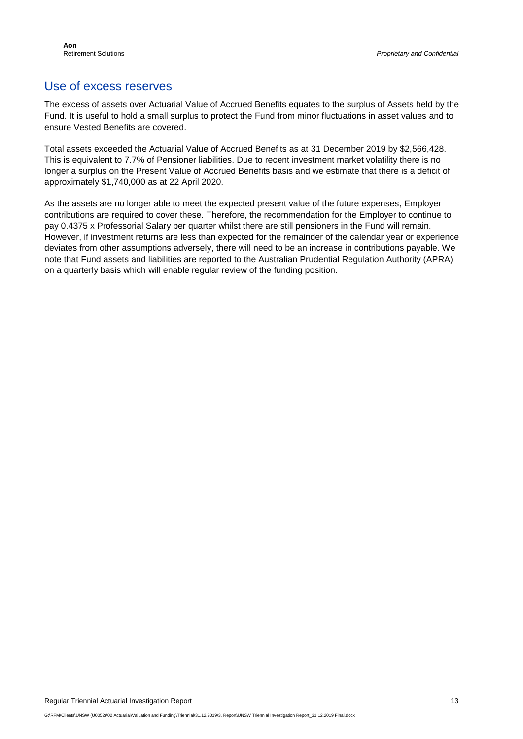#### Use of excess reserves

The excess of assets over Actuarial Value of Accrued Benefits equates to the surplus of Assets held by the Fund. It is useful to hold a small surplus to protect the Fund from minor fluctuations in asset values and to ensure Vested Benefits are covered.

Total assets exceeded the Actuarial Value of Accrued Benefits as at 31 December 2019 by \$2,566,428. This is equivalent to 7.7% of Pensioner liabilities. Due to recent investment market volatility there is no longer a surplus on the Present Value of Accrued Benefits basis and we estimate that there is a deficit of approximately \$1,740,000 as at 22 April 2020.

As the assets are no longer able to meet the expected present value of the future expenses, Employer contributions are required to cover these. Therefore, the recommendation for the Employer to continue to pay 0.4375 x Professorial Salary per quarter whilst there are still pensioners in the Fund will remain. However, if investment returns are less than expected for the remainder of the calendar year or experience deviates from other assumptions adversely, there will need to be an increase in contributions payable. We note that Fund assets and liabilities are reported to the Australian Prudential Regulation Authority (APRA) on a quarterly basis which will enable regular review of the funding position.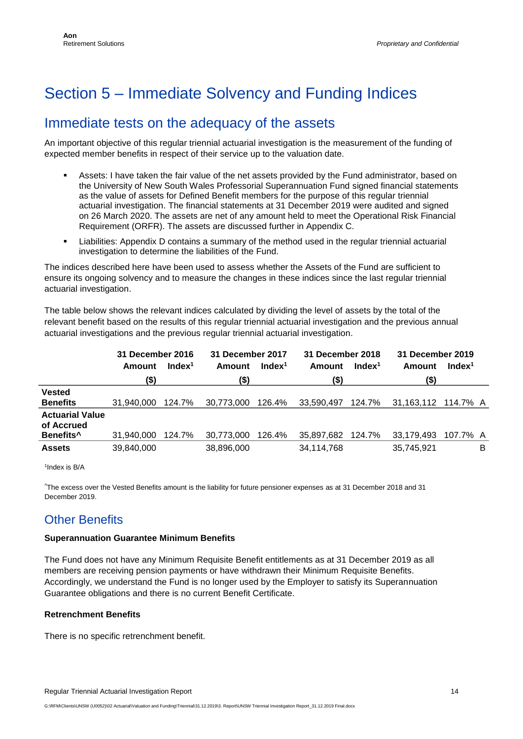# <span id="page-13-0"></span>Section 5 – Immediate Solvency and Funding Indices

#### Immediate tests on the adequacy of the assets

An important objective of this regular triennial actuarial investigation is the measurement of the funding of expected member benefits in respect of their service up to the valuation date.

- Assets: I have taken the fair value of the net assets provided by the Fund administrator, based on the University of New South Wales Professorial Superannuation Fund signed financial statements as the value of assets for Defined Benefit members for the purpose of this regular triennial actuarial investigation. The financial statements at 31 December 2019 were audited and signed on 26 March 2020. The assets are net of any amount held to meet the Operational Risk Financial Requirement (ORFR). The assets are discussed further in Appendix C.
- Liabilities: Appendix D contains a summary of the method used in the regular triennial actuarial investigation to determine the liabilities of the Fund.

The indices described here have been used to assess whether the Assets of the Fund are sufficient to ensure its ongoing solvency and to measure the changes in these indices since the last regular triennial actuarial investigation.

The table below shows the relevant indices calculated by dividing the level of assets by the total of the relevant benefit based on the results of this regular triennial actuarial investigation and the previous annual actuarial investigations and the previous regular triennial actuarial investigation.

|                                      | 31 December 2016 |                    | 31 December 2017 |                    | 31 December 2018 |                    | 31 December 2019 |                    |
|--------------------------------------|------------------|--------------------|------------------|--------------------|------------------|--------------------|------------------|--------------------|
|                                      | Amount           | Index <sup>1</sup> | Amount           | Index <sup>1</sup> | Amount           | Index <sup>1</sup> | Amount           | Index <sup>1</sup> |
|                                      | (\$)             |                    | (\$)             |                    | (\$)             |                    | (\$)             |                    |
| <b>Vested</b>                        |                  |                    |                  |                    |                  |                    |                  |                    |
| <b>Benefits</b>                      | 31.940.000       | 124.7%             | 30,773,000       | 126.4%             | 33,590,497       | 124.7%             | 31,163,112       | 114.7% A           |
| <b>Actuarial Value</b><br>of Accrued |                  |                    |                  |                    |                  |                    |                  |                    |
| Benefits <sup>^</sup>                | 31,940,000       | 124.7%             | 30,773,000       | 126.4%             | 35,897,682       | 124.7%             | 33,179,493       | 107.7% A           |
| <b>Assets</b>                        | 39,840,000       |                    | 38,896,000       |                    | 34,114,768       |                    | 35,745,921       | В                  |

<sup>1</sup>Index is B/A

^The excess over the Vested Benefits amount is the liability for future pensioner expenses as at 31 December 2018 and 31 December 2019.

#### Other Benefits

#### **Superannuation Guarantee Minimum Benefits**

The Fund does not have any Minimum Requisite Benefit entitlements as at 31 December 2019 as all members are receiving pension payments or have withdrawn their Minimum Requisite Benefits. Accordingly, we understand the Fund is no longer used by the Employer to satisfy its Superannuation Guarantee obligations and there is no current Benefit Certificate.

#### **Retrenchment Benefits**

There is no specific retrenchment benefit.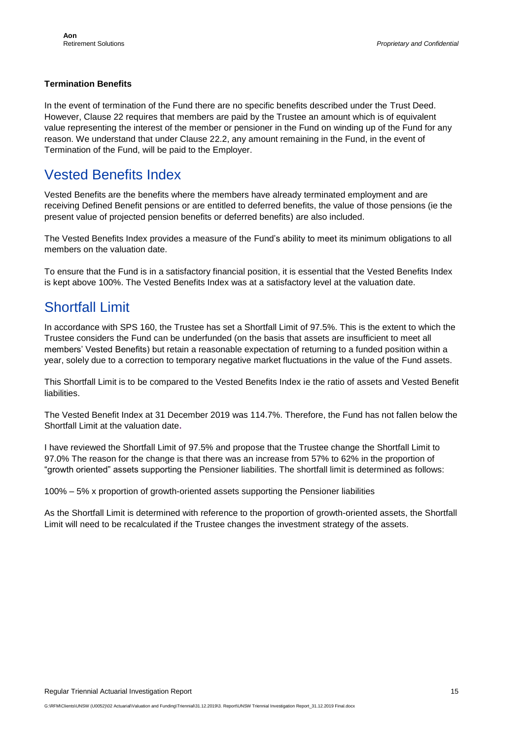#### **Termination Benefits**

In the event of termination of the Fund there are no specific benefits described under the Trust Deed. However, Clause 22 requires that members are paid by the Trustee an amount which is of equivalent value representing the interest of the member or pensioner in the Fund on winding up of the Fund for any reason. We understand that under Clause 22.2, any amount remaining in the Fund, in the event of Termination of the Fund, will be paid to the Employer.

#### Vested Benefits Index

Vested Benefits are the benefits where the members have already terminated employment and are receiving Defined Benefit pensions or are entitled to deferred benefits, the value of those pensions (ie the present value of projected pension benefits or deferred benefits) are also included.

The Vested Benefits Index provides a measure of the Fund's ability to meet its minimum obligations to all members on the valuation date.

To ensure that the Fund is in a satisfactory financial position, it is essential that the Vested Benefits Index is kept above 100%. The Vested Benefits Index was at a satisfactory level at the valuation date.

#### Shortfall Limit

In accordance with SPS 160, the Trustee has set a Shortfall Limit of 97.5%. This is the extent to which the Trustee considers the Fund can be underfunded (on the basis that assets are insufficient to meet all members' Vested Benefits) but retain a reasonable expectation of returning to a funded position within a year, solely due to a correction to temporary negative market fluctuations in the value of the Fund assets.

This Shortfall Limit is to be compared to the Vested Benefits Index ie the ratio of assets and Vested Benefit liabilities.

The Vested Benefit Index at 31 December 2019 was 114.7%. Therefore, the Fund has not fallen below the Shortfall Limit at the valuation date**.** 

I have reviewed the Shortfall Limit of 97.5% and propose that the Trustee change the Shortfall Limit to 97.0% The reason for the change is that there was an increase from 57% to 62% in the proportion of "growth oriented" assets supporting the Pensioner liabilities. The shortfall limit is determined as follows:

100% – 5% x proportion of growth-oriented assets supporting the Pensioner liabilities

As the Shortfall Limit is determined with reference to the proportion of growth-oriented assets, the Shortfall Limit will need to be recalculated if the Trustee changes the investment strategy of the assets.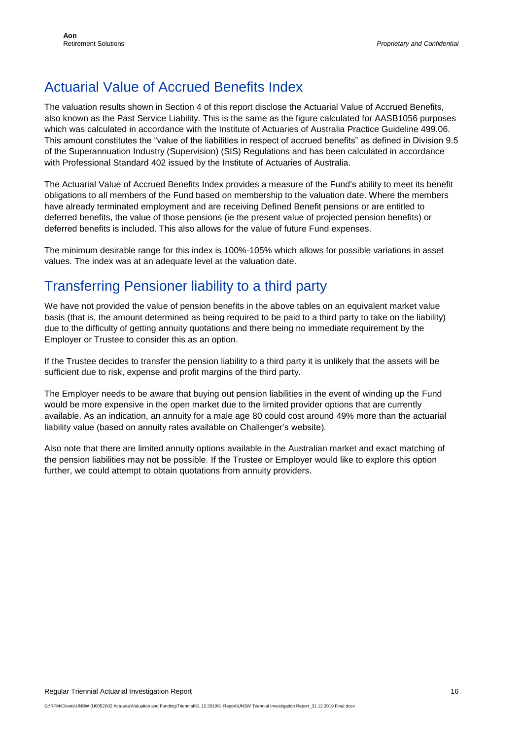### Actuarial Value of Accrued Benefits Index

The valuation results shown in Section 4 of this report disclose the Actuarial Value of Accrued Benefits, also known as the Past Service Liability. This is the same as the figure calculated for AASB1056 purposes which was calculated in accordance with the Institute of Actuaries of Australia Practice Guideline 499.06. This amount constitutes the "value of the liabilities in respect of accrued benefits" as defined in Division 9.5 of the Superannuation Industry (Supervision) (SIS) Regulations and has been calculated in accordance with Professional Standard 402 issued by the Institute of Actuaries of Australia.

The Actuarial Value of Accrued Benefits Index provides a measure of the Fund's ability to meet its benefit obligations to all members of the Fund based on membership to the valuation date. Where the members have already terminated employment and are receiving Defined Benefit pensions or are entitled to deferred benefits, the value of those pensions (ie the present value of projected pension benefits) or deferred benefits is included. This also allows for the value of future Fund expenses.

The minimum desirable range for this index is 100%-105% which allows for possible variations in asset values. The index was at an adequate level at the valuation date.

### Transferring Pensioner liability to a third party

We have not provided the value of pension benefits in the above tables on an equivalent market value basis (that is, the amount determined as being required to be paid to a third party to take on the liability) due to the difficulty of getting annuity quotations and there being no immediate requirement by the Employer or Trustee to consider this as an option.

If the Trustee decides to transfer the pension liability to a third party it is unlikely that the assets will be sufficient due to risk, expense and profit margins of the third party.

The Employer needs to be aware that buying out pension liabilities in the event of winding up the Fund would be more expensive in the open market due to the limited provider options that are currently available. As an indication, an annuity for a male age 80 could cost around 49% more than the actuarial liability value (based on annuity rates available on Challenger's website).

Also note that there are limited annuity options available in the Australian market and exact matching of the pension liabilities may not be possible. If the Trustee or Employer would like to explore this option further, we could attempt to obtain quotations from annuity providers.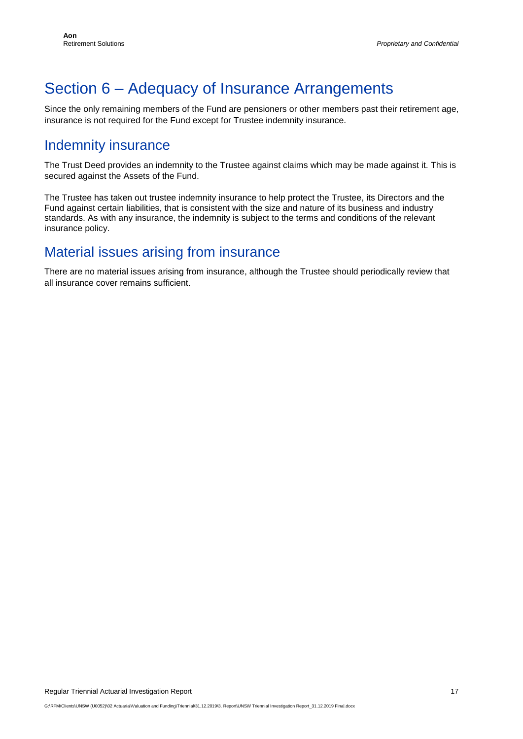# <span id="page-16-0"></span>Section 6 – Adequacy of Insurance Arrangements

Since the only remaining members of the Fund are pensioners or other members past their retirement age, insurance is not required for the Fund except for Trustee indemnity insurance.

#### Indemnity insurance

The Trust Deed provides an indemnity to the Trustee against claims which may be made against it. This is secured against the Assets of the Fund.

The Trustee has taken out trustee indemnity insurance to help protect the Trustee, its Directors and the Fund against certain liabilities, that is consistent with the size and nature of its business and industry standards. As with any insurance, the indemnity is subject to the terms and conditions of the relevant insurance policy.

#### Material issues arising from insurance

There are no material issues arising from insurance, although the Trustee should periodically review that all insurance cover remains sufficient.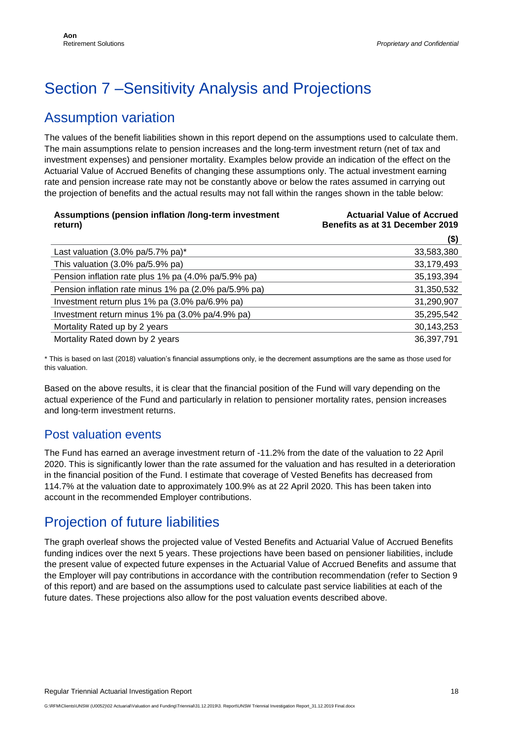# <span id="page-17-0"></span>Section 7 –Sensitivity Analysis and Projections

### Assumption variation

The values of the benefit liabilities shown in this report depend on the assumptions used to calculate them. The main assumptions relate to pension increases and the long-term investment return (net of tax and investment expenses) and pensioner mortality. Examples below provide an indication of the effect on the Actuarial Value of Accrued Benefits of changing these assumptions only. The actual investment earning rate and pension increase rate may not be constantly above or below the rates assumed in carrying out the projection of benefits and the actual results may not fall within the ranges shown in the table below:

| Assumptions (pension inflation /long-term investment<br>return) | <b>Actuarial Value of Accrued</b><br>Benefits as at 31 December 2019 |
|-----------------------------------------------------------------|----------------------------------------------------------------------|
|                                                                 | $($ \$)                                                              |
| Last valuation $(3.0\% \text{ pa}/5.7\% \text{ pa})^*$          | 33,583,380                                                           |
| This valuation (3.0% pa/5.9% pa)                                | 33,179,493                                                           |
| Pension inflation rate plus 1% pa (4.0% pa/5.9% pa)             | 35,193,394                                                           |
| Pension inflation rate minus 1% pa (2.0% pa/5.9% pa)            | 31,350,532                                                           |
| Investment return plus 1% pa (3.0% pa/6.9% pa)                  | 31,290,907                                                           |
| Investment return minus 1% pa (3.0% pa/4.9% pa)                 | 35,295,542                                                           |
| Mortality Rated up by 2 years                                   | 30,143,253                                                           |
| Mortality Rated down by 2 years                                 | 36,397,791                                                           |

\* This is based on last (2018) valuation's financial assumptions only, ie the decrement assumptions are the same as those used for this valuation.

Based on the above results, it is clear that the financial position of the Fund will vary depending on the actual experience of the Fund and particularly in relation to pensioner mortality rates, pension increases and long-term investment returns.

#### Post valuation events

The Fund has earned an average investment return of -11.2% from the date of the valuation to 22 April 2020. This is significantly lower than the rate assumed for the valuation and has resulted in a deterioration in the financial position of the Fund. I estimate that coverage of Vested Benefits has decreased from 114.7% at the valuation date to approximately 100.9% as at 22 April 2020. This has been taken into account in the recommended Employer contributions.

#### Projection of future liabilities

The graph overleaf shows the projected value of Vested Benefits and Actuarial Value of Accrued Benefits funding indices over the next 5 years. These projections have been based on pensioner liabilities, include the present value of expected future expenses in the Actuarial Value of Accrued Benefits and assume that the Employer will pay contributions in accordance with the contribution recommendation (refer to Section 9 of this report) and are based on the assumptions used to calculate past service liabilities at each of the future dates. These projections also allow for the post valuation events described above.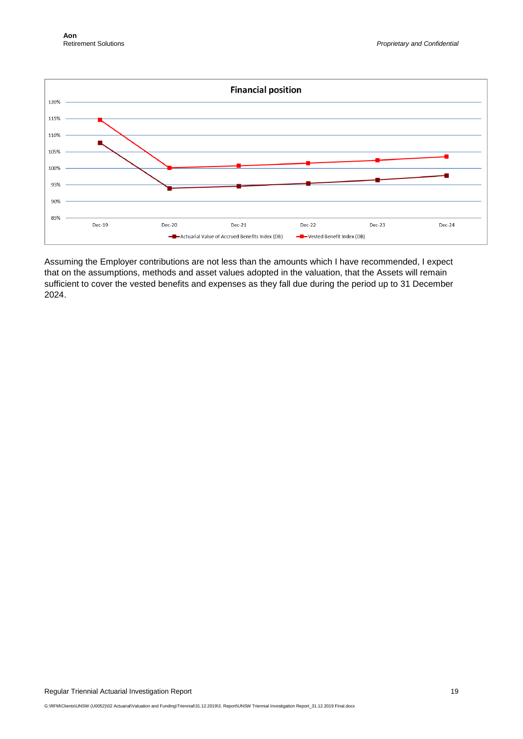

Assuming the Employer contributions are not less than the amounts which I have recommended, I expect that on the assumptions, methods and asset values adopted in the valuation, that the Assets will remain sufficient to cover the vested benefits and expenses as they fall due during the period up to 31 December 2024.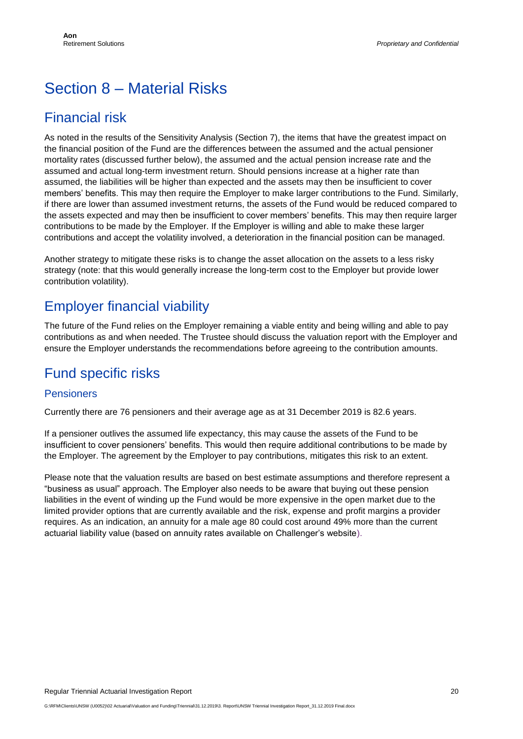# <span id="page-19-0"></span>Section 8 – Material Risks

#### Financial risk

As noted in the results of the Sensitivity Analysis (Section 7), the items that have the greatest impact on the financial position of the Fund are the differences between the assumed and the actual pensioner mortality rates (discussed further below), the assumed and the actual pension increase rate and the assumed and actual long-term investment return. Should pensions increase at a higher rate than assumed, the liabilities will be higher than expected and the assets may then be insufficient to cover members' benefits. This may then require the Employer to make larger contributions to the Fund. Similarly, if there are lower than assumed investment returns, the assets of the Fund would be reduced compared to the assets expected and may then be insufficient to cover members' benefits. This may then require larger contributions to be made by the Employer. If the Employer is willing and able to make these larger contributions and accept the volatility involved, a deterioration in the financial position can be managed.

Another strategy to mitigate these risks is to change the asset allocation on the assets to a less risky strategy (note: that this would generally increase the long-term cost to the Employer but provide lower contribution volatility).

### Employer financial viability

The future of the Fund relies on the Employer remaining a viable entity and being willing and able to pay contributions as and when needed. The Trustee should discuss the valuation report with the Employer and ensure the Employer understands the recommendations before agreeing to the contribution amounts.

#### Fund specific risks

#### Pensioners

Currently there are 76 pensioners and their average age as at 31 December 2019 is 82.6 years.

If a pensioner outlives the assumed life expectancy, this may cause the assets of the Fund to be insufficient to cover pensioners' benefits. This would then require additional contributions to be made by the Employer. The agreement by the Employer to pay contributions, mitigates this risk to an extent.

Please note that the valuation results are based on best estimate assumptions and therefore represent a "business as usual" approach. The Employer also needs to be aware that buying out these pension liabilities in the event of winding up the Fund would be more expensive in the open market due to the limited provider options that are currently available and the risk, expense and profit margins a provider requires. As an indication, an annuity for a male age 80 could cost around 49% more than the current actuarial liability value (based on annuity rates available on Challenger's website).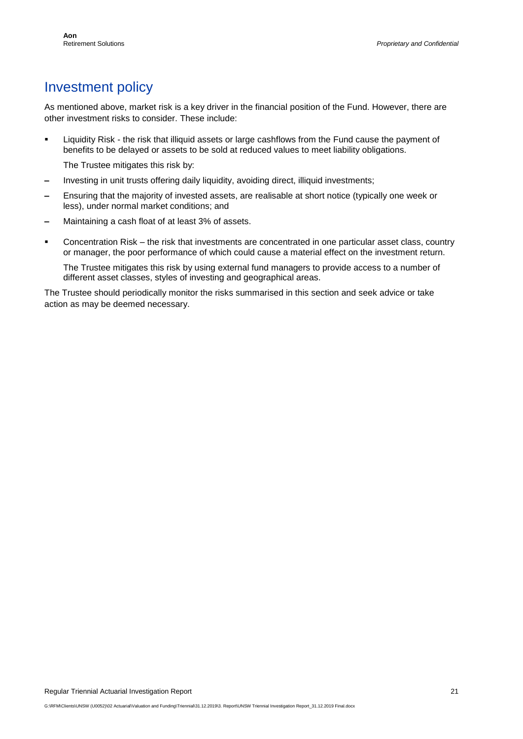### Investment policy

As mentioned above, market risk is a key driver in the financial position of the Fund. However, there are other investment risks to consider. These include:

**EXECT** Liquidity Risk - the risk that illiquid assets or large cashflows from the Fund cause the payment of benefits to be delayed or assets to be sold at reduced values to meet liability obligations.

The Trustee mitigates this risk by:

- **–** Investing in unit trusts offering daily liquidity, avoiding direct, illiquid investments;
- **–** Ensuring that the majority of invested assets, are realisable at short notice (typically one week or less), under normal market conditions; and
- **–** Maintaining a cash float of at least 3% of assets.
- Concentration Risk the risk that investments are concentrated in one particular asset class, country or manager, the poor performance of which could cause a material effect on the investment return.

The Trustee mitigates this risk by using external fund managers to provide access to a number of different asset classes, styles of investing and geographical areas.

The Trustee should periodically monitor the risks summarised in this section and seek advice or take action as may be deemed necessary.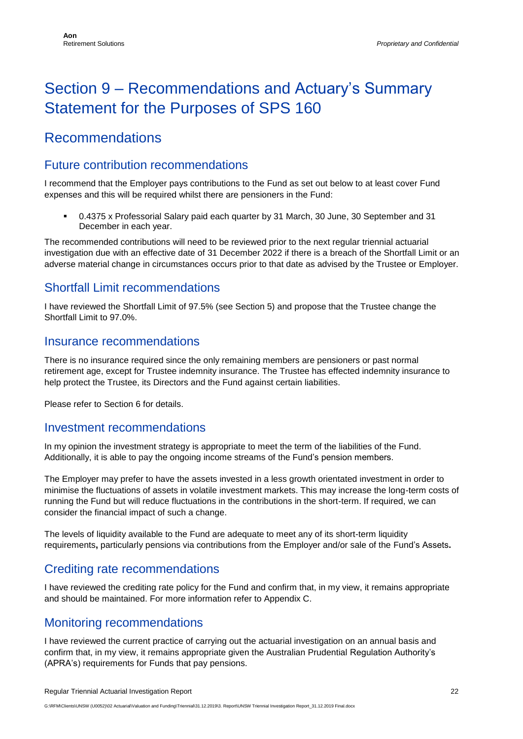# <span id="page-21-0"></span>Section 9 – Recommendations and Actuary's Summary Statement for the Purposes of SPS 160

### Recommendations

#### Future contribution recommendations

I recommend that the Employer pays contributions to the Fund as set out below to at least cover Fund expenses and this will be required whilst there are pensioners in the Fund:

0.4375 x Professorial Salary paid each quarter by 31 March, 30 June, 30 September and 31 December in each year.

The recommended contributions will need to be reviewed prior to the next regular triennial actuarial investigation due with an effective date of 31 December 2022 if there is a breach of the Shortfall Limit or an adverse material change in circumstances occurs prior to that date as advised by the Trustee or Employer.

#### Shortfall Limit recommendations

I have reviewed the Shortfall Limit of 97.5% (see Section 5) and propose that the Trustee change the Shortfall Limit to 97.0%.

#### Insurance recommendations

There is no insurance required since the only remaining members are pensioners or past normal retirement age, except for Trustee indemnity insurance. The Trustee has effected indemnity insurance to help protect the Trustee, its Directors and the Fund against certain liabilities.

Please refer to Section 6 for details.

#### Investment recommendations

In my opinion the investment strategy is appropriate to meet the term of the liabilities of the Fund. Additionally, it is able to pay the ongoing income streams of the Fund's pension members.

The Employer may prefer to have the assets invested in a less growth orientated investment in order to minimise the fluctuations of assets in volatile investment markets. This may increase the long-term costs of running the Fund but will reduce fluctuations in the contributions in the short-term. If required, we can consider the financial impact of such a change.

The levels of liquidity available to the Fund are adequate to meet any of its short-term liquidity requirements**,** particularly pensions via contributions from the Employer and/or sale of the Fund's Assets**.**

#### Crediting rate recommendations

I have reviewed the crediting rate policy for the Fund and confirm that, in my view, it remains appropriate and should be maintained. For more information refer to Appendix C.

#### Monitoring recommendations

I have reviewed the current practice of carrying out the actuarial investigation on an annual basis and confirm that, in my view, it remains appropriate given the Australian Prudential Regulation Authority's (APRA's) requirements for Funds that pay pensions.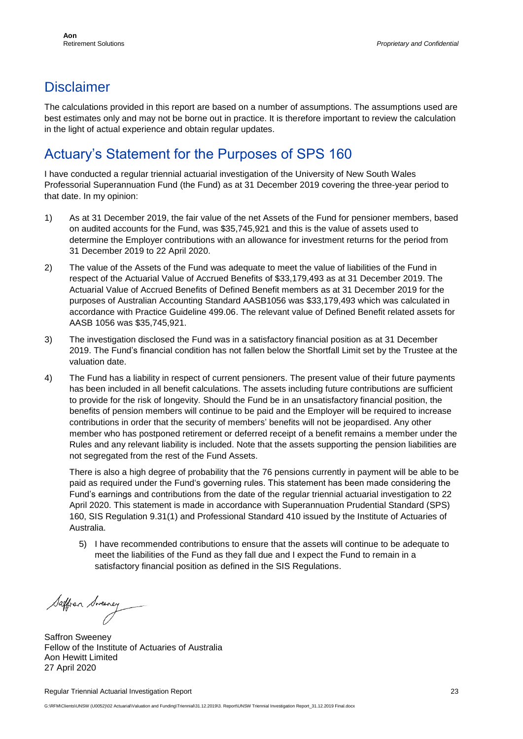### **Disclaimer**

The calculations provided in this report are based on a number of assumptions. The assumptions used are best estimates only and may not be borne out in practice. It is therefore important to review the calculation in the light of actual experience and obtain regular updates.

### Actuary's Statement for the Purposes of SPS 160

I have conducted a regular triennial actuarial investigation of the University of New South Wales Professorial Superannuation Fund (the Fund) as at 31 December 2019 covering the three-year period to that date. In my opinion:

- 1) As at 31 December 2019, the fair value of the net Assets of the Fund for pensioner members, based on audited accounts for the Fund, was \$35,745,921 and this is the value of assets used to determine the Employer contributions with an allowance for investment returns for the period from 31 December 2019 to 22 April 2020.
- 2) The value of the Assets of the Fund was adequate to meet the value of liabilities of the Fund in respect of the Actuarial Value of Accrued Benefits of \$33,179,493 as at 31 December 2019. The Actuarial Value of Accrued Benefits of Defined Benefit members as at 31 December 2019 for the purposes of Australian Accounting Standard AASB1056 was \$33,179,493 which was calculated in accordance with Practice Guideline 499.06. The relevant value of Defined Benefit related assets for AASB 1056 was \$35,745,921.
- 3) The investigation disclosed the Fund was in a satisfactory financial position as at 31 December 2019. The Fund's financial condition has not fallen below the Shortfall Limit set by the Trustee at the valuation date.
- 4) The Fund has a liability in respect of current pensioners. The present value of their future payments has been included in all benefit calculations. The assets including future contributions are sufficient to provide for the risk of longevity. Should the Fund be in an unsatisfactory financial position, the benefits of pension members will continue to be paid and the Employer will be required to increase contributions in order that the security of members' benefits will not be jeopardised. Any other member who has postponed retirement or deferred receipt of a benefit remains a member under the Rules and any relevant liability is included. Note that the assets supporting the pension liabilities are not segregated from the rest of the Fund Assets.

There is also a high degree of probability that the 76 pensions currently in payment will be able to be paid as required under the Fund's governing rules. This statement has been made considering the Fund's earnings and contributions from the date of the regular triennial actuarial investigation to 22 April 2020. This statement is made in accordance with Superannuation Prudential Standard (SPS) 160, SIS Regulation 9.31(1) and Professional Standard 410 issued by the Institute of Actuaries of Australia.

5) I have recommended contributions to ensure that the assets will continue to be adequate to meet the liabilities of the Fund as they fall due and I expect the Fund to remain in a satisfactory financial position as defined in the SIS Regulations.

Saffran Sweeney

Saffron Sweeney Fellow of the Institute of Actuaries of Australia Aon Hewitt Limited 27 April 2020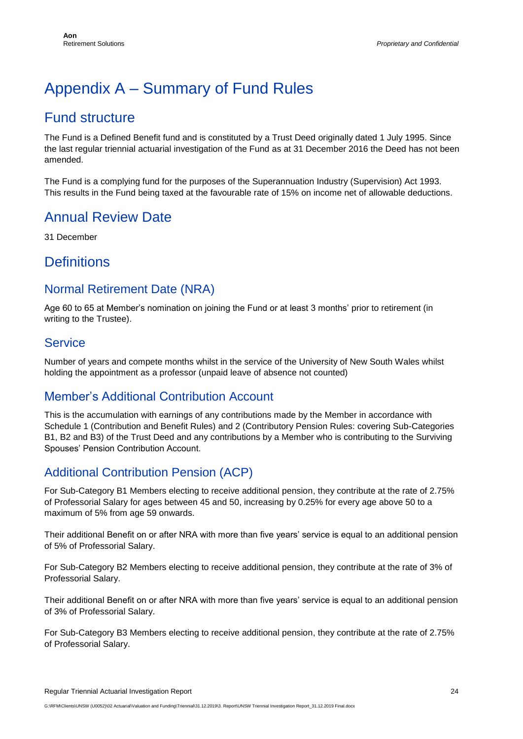# <span id="page-23-0"></span>Appendix A – Summary of Fund Rules

#### Fund structure

The Fund is a Defined Benefit fund and is constituted by a Trust Deed originally dated 1 July 1995. Since the last regular triennial actuarial investigation of the Fund as at 31 December 2016 the Deed has not been amended.

The Fund is a complying fund for the purposes of the Superannuation Industry (Supervision) Act 1993. This results in the Fund being taxed at the favourable rate of 15% on income net of allowable deductions.

#### Annual Review Date

31 December

#### **Definitions**

#### Normal Retirement Date (NRA)

Age 60 to 65 at Member's nomination on joining the Fund or at least 3 months' prior to retirement (in writing to the Trustee).

#### Service

Number of years and compete months whilst in the service of the University of New South Wales whilst holding the appointment as a professor (unpaid leave of absence not counted)

#### Member's Additional Contribution Account

This is the accumulation with earnings of any contributions made by the Member in accordance with Schedule 1 (Contribution and Benefit Rules) and 2 (Contributory Pension Rules: covering Sub-Categories B1, B2 and B3) of the Trust Deed and any contributions by a Member who is contributing to the Surviving Spouses' Pension Contribution Account.

#### Additional Contribution Pension (ACP)

For Sub-Category B1 Members electing to receive additional pension, they contribute at the rate of 2.75% of Professorial Salary for ages between 45 and 50, increasing by 0.25% for every age above 50 to a maximum of 5% from age 59 onwards.

Their additional Benefit on or after NRA with more than five years' service is equal to an additional pension of 5% of Professorial Salary.

For Sub-Category B2 Members electing to receive additional pension, they contribute at the rate of 3% of Professorial Salary.

Their additional Benefit on or after NRA with more than five years' service is equal to an additional pension of 3% of Professorial Salary.

For Sub-Category B3 Members electing to receive additional pension, they contribute at the rate of 2.75% of Professorial Salary.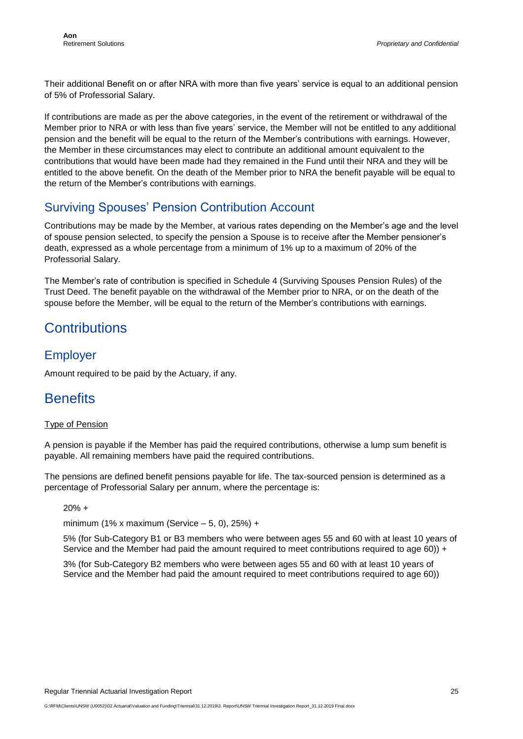Their additional Benefit on or after NRA with more than five years' service is equal to an additional pension of 5% of Professorial Salary.

If contributions are made as per the above categories, in the event of the retirement or withdrawal of the Member prior to NRA or with less than five years' service, the Member will not be entitled to any additional pension and the benefit will be equal to the return of the Member's contributions with earnings. However, the Member in these circumstances may elect to contribute an additional amount equivalent to the contributions that would have been made had they remained in the Fund until their NRA and they will be entitled to the above benefit. On the death of the Member prior to NRA the benefit payable will be equal to the return of the Member's contributions with earnings.

#### Surviving Spouses' Pension Contribution Account

Contributions may be made by the Member, at various rates depending on the Member's age and the level of spouse pension selected, to specify the pension a Spouse is to receive after the Member pensioner's death, expressed as a whole percentage from a minimum of 1% up to a maximum of 20% of the Professorial Salary.

The Member's rate of contribution is specified in Schedule 4 (Surviving Spouses Pension Rules) of the Trust Deed. The benefit payable on the withdrawal of the Member prior to NRA, or on the death of the spouse before the Member, will be equal to the return of the Member's contributions with earnings.

### **Contributions**

#### Employer

Amount required to be paid by the Actuary, if any.

#### **Benefits**

#### Type of Pension

A pension is payable if the Member has paid the required contributions, otherwise a lump sum benefit is payable. All remaining members have paid the required contributions.

The pensions are defined benefit pensions payable for life. The tax-sourced pension is determined as a percentage of Professorial Salary per annum, where the percentage is:

20% +

minimum (1% x maximum (Service – 5, 0), 25%) +

5% (for Sub-Category B1 or B3 members who were between ages 55 and 60 with at least 10 years of Service and the Member had paid the amount required to meet contributions required to age 60)) +

3% (for Sub-Category B2 members who were between ages 55 and 60 with at least 10 years of Service and the Member had paid the amount required to meet contributions required to age 60))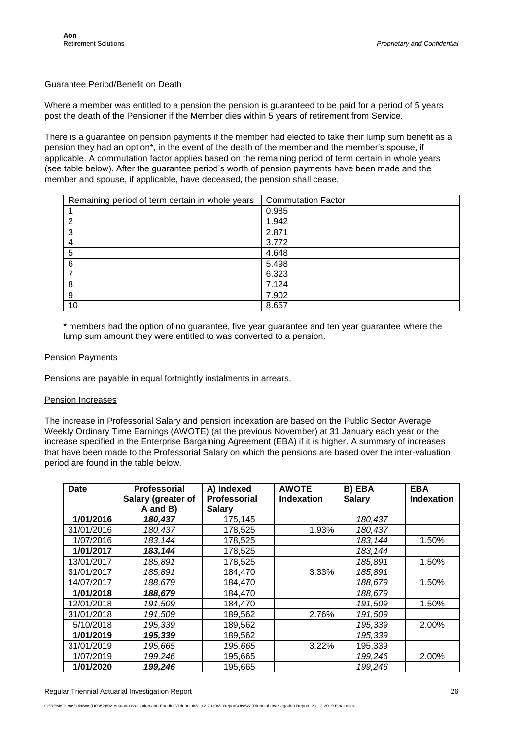#### Guarantee Period/Benefit on Death

Where a member was entitled to a pension the pension is guaranteed to be paid for a period of 5 years post the death of the Pensioner if the Member dies within 5 years of retirement from Service.

There is a guarantee on pension payments if the member had elected to take their lump sum benefit as a pension they had an option\*, in the event of the death of the member and the member's spouse, if applicable. A commutation factor applies based on the remaining period of term certain in whole years (see table below). After the guarantee period's worth of pension payments have been made and the member and spouse, if applicable, have deceased, the pension shall cease.

| Remaining period of term certain in whole years | <b>Commutation Factor</b> |
|-------------------------------------------------|---------------------------|
|                                                 | 0.985                     |
| ົ                                               | 1.942                     |
| 3                                               | 2.871                     |
| 4                                               | 3.772                     |
| 5                                               | 4.648                     |
| 6                                               | 5.498                     |
|                                                 | 6.323                     |
| 8                                               | 7.124                     |
| 9                                               | 7.902                     |
| 10                                              | 8.657                     |

\* members had the option of no guarantee, five year guarantee and ten year guarantee where the lump sum amount they were entitled to was converted to a pension.

#### Pension Payments

Pensions are payable in equal fortnightly instalments in arrears.

#### Pension Increases

The increase in Professorial Salary and pension indexation are based on the Public Sector Average Weekly Ordinary Time Earnings (AWOTE) (at the previous November) at 31 January each year or the increase specified in the Enterprise Bargaining Agreement (EBA) if it is higher. A summary of increases that have been made to the Professorial Salary on which the pensions are based over the inter-valuation period are found in the table below.

| Date       | Professorial<br>Salary (greater of | A) Indexed<br>Professorial | <b>AWOTE</b><br><b>Indexation</b> | B) EBA<br><b>Salary</b> | <b>EBA</b><br><b>Indexation</b> |
|------------|------------------------------------|----------------------------|-----------------------------------|-------------------------|---------------------------------|
|            | A and B)                           | <b>Salary</b>              |                                   |                         |                                 |
| 1/01/2016  | 180,437                            | 175,145                    |                                   | 180,437                 |                                 |
| 31/01/2016 | 180,437                            | 178,525                    | 1.93%                             | 180,437                 |                                 |
| 1/07/2016  | 183, 144                           | 178,525                    |                                   | 183, 144                | 1.50%                           |
| 1/01/2017  | 183,144                            | 178,525                    |                                   | 183, 144                |                                 |
| 13/01/2017 | 185,891                            | 178,525                    |                                   | 185,891                 | 1.50%                           |
| 31/01/2017 | 185,891                            | 184,470                    | 3.33%                             | 185,891                 |                                 |
| 14/07/2017 | 188,679                            | 184,470                    |                                   | 188,679                 | 1.50%                           |
| 1/01/2018  | 188,679                            | 184,470                    |                                   | 188,679                 |                                 |
| 12/01/2018 | 191,509                            | 184,470                    |                                   | 191,509                 | 1.50%                           |
| 31/01/2018 | 191,509                            | 189,562                    | 2.76%                             | 191,509                 |                                 |
| 5/10/2018  | 195,339                            | 189,562                    |                                   | 195,339                 | 2.00%                           |
| 1/01/2019  | 195,339                            | 189,562                    |                                   | 195,339                 |                                 |
| 31/01/2019 | 195,665                            | 195,665                    | 3.22%                             | 195,339                 |                                 |
| 1/07/2019  | 199,246                            | 195,665                    |                                   | 199,246                 | 2.00%                           |
| 1/01/2020  | 199,246                            | 195,665                    |                                   | 199,246                 |                                 |

Regular Triennial Actuarial Investigation Report 26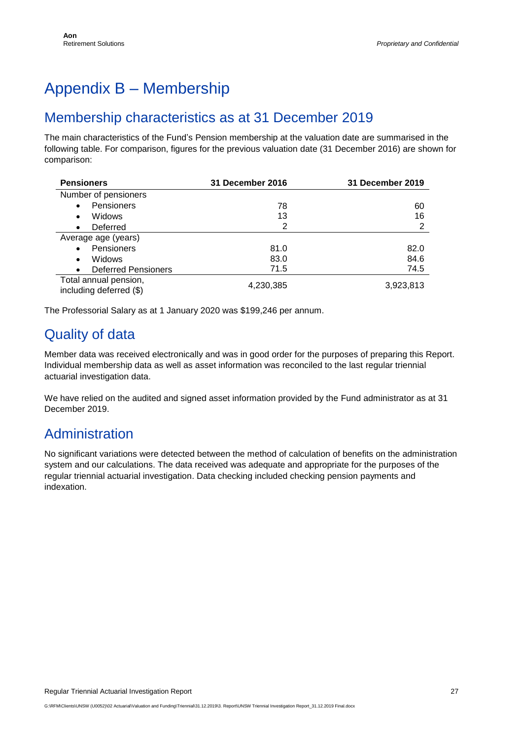# <span id="page-26-0"></span>Appendix B – Membership

#### Membership characteristics as at 31 December 2019

The main characteristics of the Fund's Pension membership at the valuation date are summarised in the following table. For comparison, figures for the previous valuation date (31 December 2016) are shown for comparison:

| <b>Pensioners</b>                                | 31 December 2016 | <b>31 December 2019</b> |
|--------------------------------------------------|------------------|-------------------------|
| Number of pensioners                             |                  |                         |
| Pensioners<br>$\bullet$                          | 78               | 60                      |
| Widows<br>$\bullet$                              | 13               | 16                      |
| Deferred<br>$\bullet$                            | 2                | 2                       |
| Average age (years)                              |                  |                         |
| Pensioners<br>$\bullet$                          | 81.0             | 82.0                    |
| Widows<br>$\bullet$                              | 83.0             | 84.6                    |
| <b>Deferred Pensioners</b><br>$\bullet$          | 71.5             | 74.5                    |
| Total annual pension,<br>including deferred (\$) | 4,230,385        | 3,923,813               |

The Professorial Salary as at 1 January 2020 was \$199,246 per annum.

### Quality of data

Member data was received electronically and was in good order for the purposes of preparing this Report. Individual membership data as well as asset information was reconciled to the last regular triennial actuarial investigation data.

We have relied on the audited and signed asset information provided by the Fund administrator as at 31 December 2019.

#### Administration

No significant variations were detected between the method of calculation of benefits on the administration system and our calculations. The data received was adequate and appropriate for the purposes of the regular triennial actuarial investigation. Data checking included checking pension payments and indexation.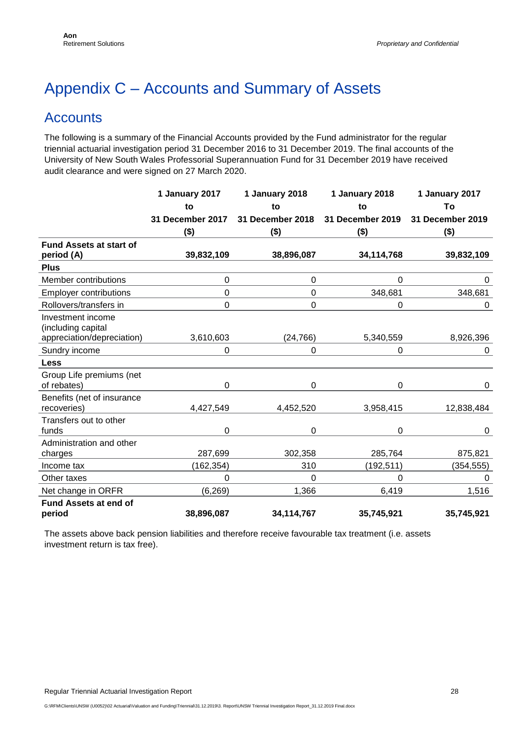# <span id="page-27-0"></span>Appendix C – Accounts and Summary of Assets

#### **Accounts**

The following is a summary of the Financial Accounts provided by the Fund administrator for the regular triennial actuarial investigation period 31 December 2016 to 31 December 2019. The final accounts of the University of New South Wales Professorial Superannuation Fund for 31 December 2019 have received audit clearance and were signed on 27 March 2020.

|                                              | 1 January 2017   | 1 January 2018   | 1 January 2018          | 1 January 2017   |
|----------------------------------------------|------------------|------------------|-------------------------|------------------|
|                                              | to               | to               | to                      | To               |
|                                              | 31 December 2017 | 31 December 2018 | <b>31 December 2019</b> | 31 December 2019 |
|                                              | $($ \$)          | $($ \$)          | $($ \$)                 | $($ \$)          |
| <b>Fund Assets at start of</b><br>period (A) | 39,832,109       | 38,896,087       | 34,114,768              | 39,832,109       |
| <b>Plus</b>                                  |                  |                  |                         |                  |
| Member contributions                         | $\mathbf 0$      | 0                | $\overline{0}$          | 0                |
| <b>Employer contributions</b>                | 0                | 0                | 348,681                 | 348,681          |
| Rollovers/transfers in                       | 0                | 0                | 0                       | 0                |
| Investment income<br>(including capital      |                  |                  |                         |                  |
| appreciation/depreciation)                   | 3,610,603        | (24, 766)        | 5,340,559               | 8,926,396        |
| Sundry income                                | 0                | 0                | 0                       | 0                |
| <b>Less</b>                                  |                  |                  |                         |                  |
| Group Life premiums (net<br>of rebates)      | 0                | 0                | 0                       | 0                |
| Benefits (net of insurance<br>recoveries)    | 4,427,549        | 4,452,520        | 3,958,415               | 12,838,484       |
| Transfers out to other<br>funds              | $\mathbf 0$      | 0                | 0                       | 0                |
| Administration and other<br>charges          | 287,699          | 302,358          | 285,764                 | 875,821          |
| Income tax                                   | (162, 354)       | 310              | (192, 511)              | (354,555)        |
| Other taxes                                  | 0                | 0                | 0                       | $\Omega$         |
| Net change in ORFR                           | (6, 269)         | 1,366            | 6,419                   | 1,516            |
| Fund Assets at end of<br>period              | 38,896,087       | 34,114,767       | 35,745,921              | 35,745,921       |

The assets above back pension liabilities and therefore receive favourable tax treatment (i.e. assets investment return is tax free).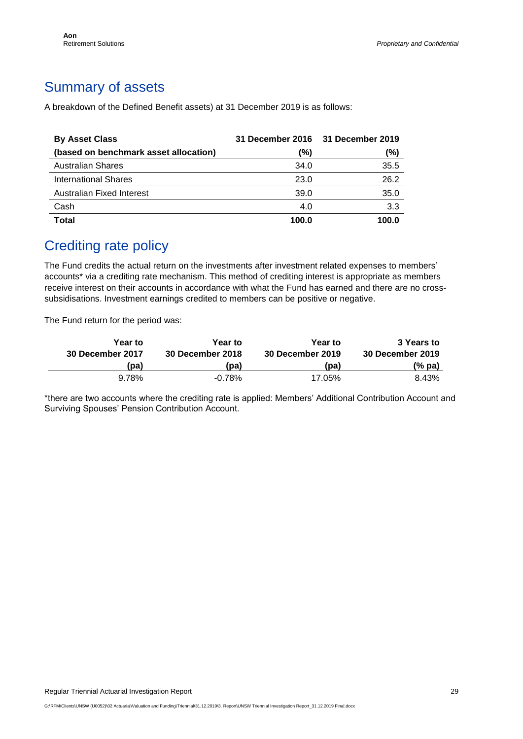### Summary of assets

A breakdown of the Defined Benefit assets) at 31 December 2019 is as follows:

| <b>By Asset Class</b>                 |       | 31 December 2016 31 December 2019 |
|---------------------------------------|-------|-----------------------------------|
| (based on benchmark asset allocation) | (%)   | (%)                               |
| <b>Australian Shares</b>              | 34.0  | 35.5                              |
| <b>International Shares</b>           | 23.0  | 26.2                              |
| <b>Australian Fixed Interest</b>      | 39.0  | 35.0                              |
| Cash                                  | 4.0   | 3.3                               |
| <b>Total</b>                          | 100.0 | 100.0                             |

#### Crediting rate policy

The Fund credits the actual return on the investments after investment related expenses to members' accounts\* via a crediting rate mechanism. This method of crediting interest is appropriate as members receive interest on their accounts in accordance with what the Fund has earned and there are no crosssubsidisations. Investment earnings credited to members can be positive or negative.

The Fund return for the period was:

| Year to<br><b>30 December 2017</b> | Year to<br><b>30 December 2018</b> | <b>Year to</b><br><b>30 December 2019</b> | 3 Years to<br>30 December 2019 |
|------------------------------------|------------------------------------|-------------------------------------------|--------------------------------|
| (pa)                               | (pa)                               | (pa)                                      | (% pa)                         |
| 9.78%                              | $-0.78\%$                          | 17.05%                                    | 8.43%                          |

\*there are two accounts where the crediting rate is applied: Members' Additional Contribution Account and Surviving Spouses' Pension Contribution Account.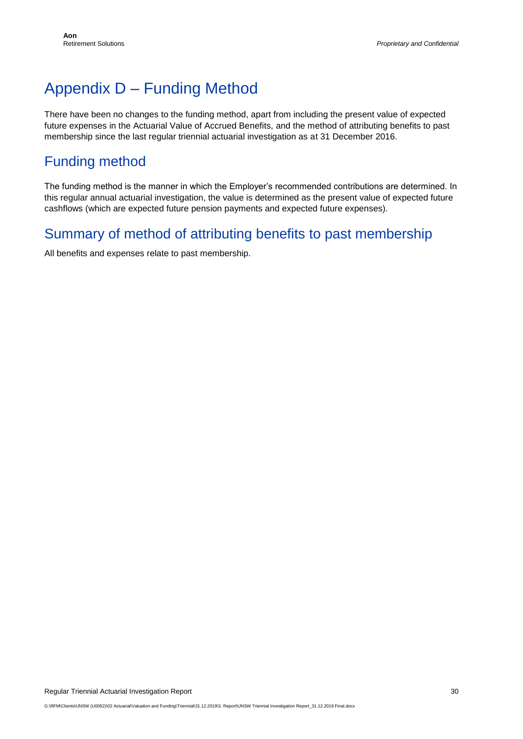# <span id="page-29-0"></span>Appendix D – Funding Method

There have been no changes to the funding method, apart from including the present value of expected future expenses in the Actuarial Value of Accrued Benefits, and the method of attributing benefits to past membership since the last regular triennial actuarial investigation as at 31 December 2016.

### Funding method

The funding method is the manner in which the Employer's recommended contributions are determined. In this regular annual actuarial investigation, the value is determined as the present value of expected future cashflows (which are expected future pension payments and expected future expenses).

#### Summary of method of attributing benefits to past membership

All benefits and expenses relate to past membership.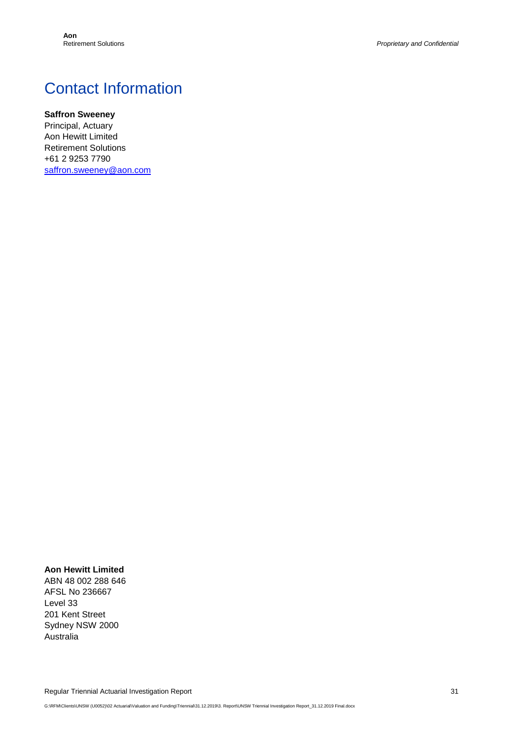# Contact Information

#### **Saffron Sweeney**

Principal, Actuary Aon Hewitt Limited Retirement Solutions +61 2 9253 7790 [saffron.sweeney@aon.com](mailto:saffron.sweeney@aon.com)

#### **Aon Hewitt Limited**

ABN 48 002 288 646 AFSL No 236667 Level 33 201 Kent Street Sydney NSW 2000 Australia